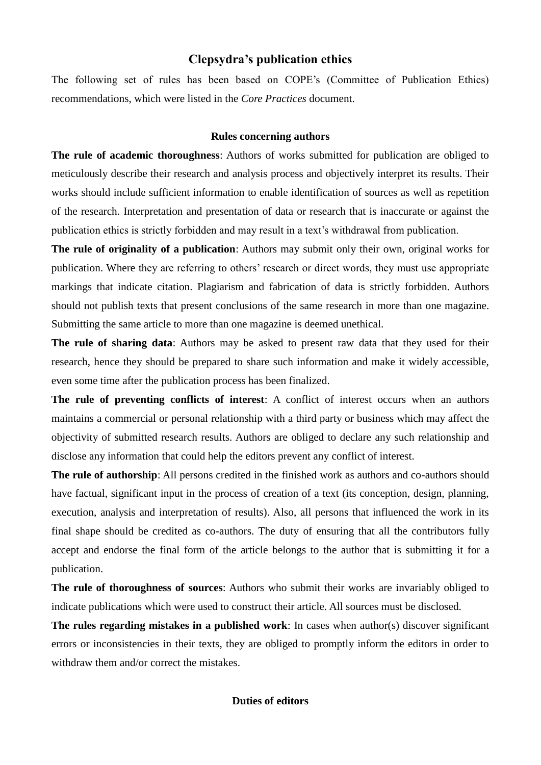## **Clepsydra's publication ethics**

The following set of rules has been based on COPE's (Committee of Publication Ethics) recommendations, which were listed in the *Core Practices* document.

## **Rules concerning authors**

**The rule of academic thoroughness**: Authors of works submitted for publication are obliged to meticulously describe their research and analysis process and objectively interpret its results. Their works should include sufficient information to enable identification of sources as well as repetition of the research. Interpretation and presentation of data or research that is inaccurate or against the publication ethics is strictly forbidden and may result in a text's withdrawal from publication.

**The rule of originality of a publication**: Authors may submit only their own, original works for publication. Where they are referring to others' research or direct words, they must use appropriate markings that indicate citation. Plagiarism and fabrication of data is strictly forbidden. Authors should not publish texts that present conclusions of the same research in more than one magazine. Submitting the same article to more than one magazine is deemed unethical.

**The rule of sharing data**: Authors may be asked to present raw data that they used for their research, hence they should be prepared to share such information and make it widely accessible, even some time after the publication process has been finalized.

**The rule of preventing conflicts of interest**: A conflict of interest occurs when an authors maintains a commercial or personal relationship with a third party or business which may affect the objectivity of submitted research results. Authors are obliged to declare any such relationship and disclose any information that could help the editors prevent any conflict of interest.

**The rule of authorship**: All persons credited in the finished work as authors and co-authors should have factual, significant input in the process of creation of a text (its conception, design, planning, execution, analysis and interpretation of results). Also, all persons that influenced the work in its final shape should be credited as co-authors. The duty of ensuring that all the contributors fully accept and endorse the final form of the article belongs to the author that is submitting it for a publication.

**The rule of thoroughness of sources**: Authors who submit their works are invariably obliged to indicate publications which were used to construct their article. All sources must be disclosed.

**The rules regarding mistakes in a published work**: In cases when author(s) discover significant errors or inconsistencies in their texts, they are obliged to promptly inform the editors in order to withdraw them and/or correct the mistakes.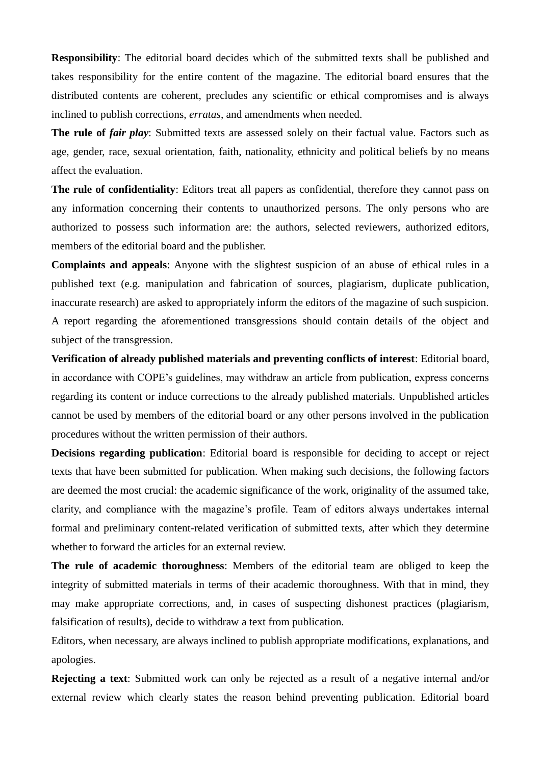**Responsibility**: The editorial board decides which of the submitted texts shall be published and takes responsibility for the entire content of the magazine. The editorial board ensures that the distributed contents are coherent, precludes any scientific or ethical compromises and is always inclined to publish corrections, *erratas*, and amendments when needed.

**The rule of** *fair play*: Submitted texts are assessed solely on their factual value. Factors such as age, gender, race, sexual orientation, faith, nationality, ethnicity and political beliefs by no means affect the evaluation.

**The rule of confidentiality**: Editors treat all papers as confidential, therefore they cannot pass on any information concerning their contents to unauthorized persons. The only persons who are authorized to possess such information are: the authors, selected reviewers, authorized editors, members of the editorial board and the publisher.

**Complaints and appeals**: Anyone with the slightest suspicion of an abuse of ethical rules in a published text (e.g. manipulation and fabrication of sources, plagiarism, duplicate publication, inaccurate research) are asked to appropriately inform the editors of the magazine of such suspicion. A report regarding the aforementioned transgressions should contain details of the object and subject of the transgression.

**Verification of already published materials and preventing conflicts of interest**: Editorial board, in accordance with COPE's guidelines, may withdraw an article from publication, express concerns regarding its content or induce corrections to the already published materials. Unpublished articles cannot be used by members of the editorial board or any other persons involved in the publication procedures without the written permission of their authors.

**Decisions regarding publication**: Editorial board is responsible for deciding to accept or reject texts that have been submitted for publication. When making such decisions, the following factors are deemed the most crucial: the academic significance of the work, originality of the assumed take, clarity, and compliance with the magazine's profile. Team of editors always undertakes internal formal and preliminary content-related verification of submitted texts, after which they determine whether to forward the articles for an external review.

**The rule of academic thoroughness**: Members of the editorial team are obliged to keep the integrity of submitted materials in terms of their academic thoroughness. With that in mind, they may make appropriate corrections, and, in cases of suspecting dishonest practices (plagiarism, falsification of results), decide to withdraw a text from publication.

Editors, when necessary, are always inclined to publish appropriate modifications, explanations, and apologies.

**Rejecting a text**: Submitted work can only be rejected as a result of a negative internal and/or external review which clearly states the reason behind preventing publication. Editorial board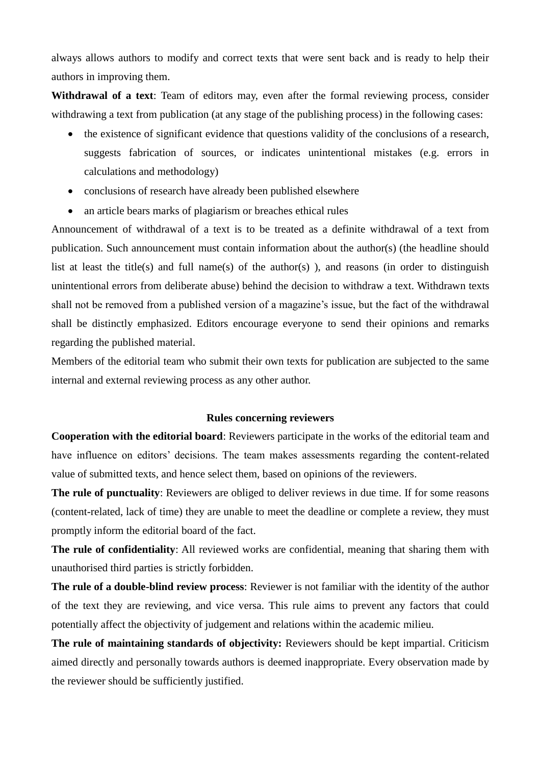always allows authors to modify and correct texts that were sent back and is ready to help their authors in improving them.

**Withdrawal of a text**: Team of editors may, even after the formal reviewing process, consider withdrawing a text from publication (at any stage of the publishing process) in the following cases:

- the existence of significant evidence that questions validity of the conclusions of a research, suggests fabrication of sources, or indicates unintentional mistakes (e.g. errors in calculations and methodology)
- conclusions of research have already been published elsewhere
- an article bears marks of plagiarism or breaches ethical rules

Announcement of withdrawal of a text is to be treated as a definite withdrawal of a text from publication. Such announcement must contain information about the author(s) (the headline should list at least the title(s) and full name(s) of the author(s)), and reasons (in order to distinguish unintentional errors from deliberate abuse) behind the decision to withdraw a text. Withdrawn texts shall not be removed from a published version of a magazine's issue, but the fact of the withdrawal shall be distinctly emphasized. Editors encourage everyone to send their opinions and remarks regarding the published material.

Members of the editorial team who submit their own texts for publication are subjected to the same internal and external reviewing process as any other author.

## **Rules concerning reviewers**

**Cooperation with the editorial board**: Reviewers participate in the works of the editorial team and have influence on editors' decisions. The team makes assessments regarding the content-related value of submitted texts, and hence select them, based on opinions of the reviewers.

**The rule of punctuality**: Reviewers are obliged to deliver reviews in due time. If for some reasons (content-related, lack of time) they are unable to meet the deadline or complete a review, they must promptly inform the editorial board of the fact.

**The rule of confidentiality**: All reviewed works are confidential, meaning that sharing them with unauthorised third parties is strictly forbidden.

**The rule of a double-blind review process**: Reviewer is not familiar with the identity of the author of the text they are reviewing, and vice versa. This rule aims to prevent any factors that could potentially affect the objectivity of judgement and relations within the academic milieu.

**The rule of maintaining standards of objectivity:** Reviewers should be kept impartial. Criticism aimed directly and personally towards authors is deemed inappropriate. Every observation made by the reviewer should be sufficiently justified.